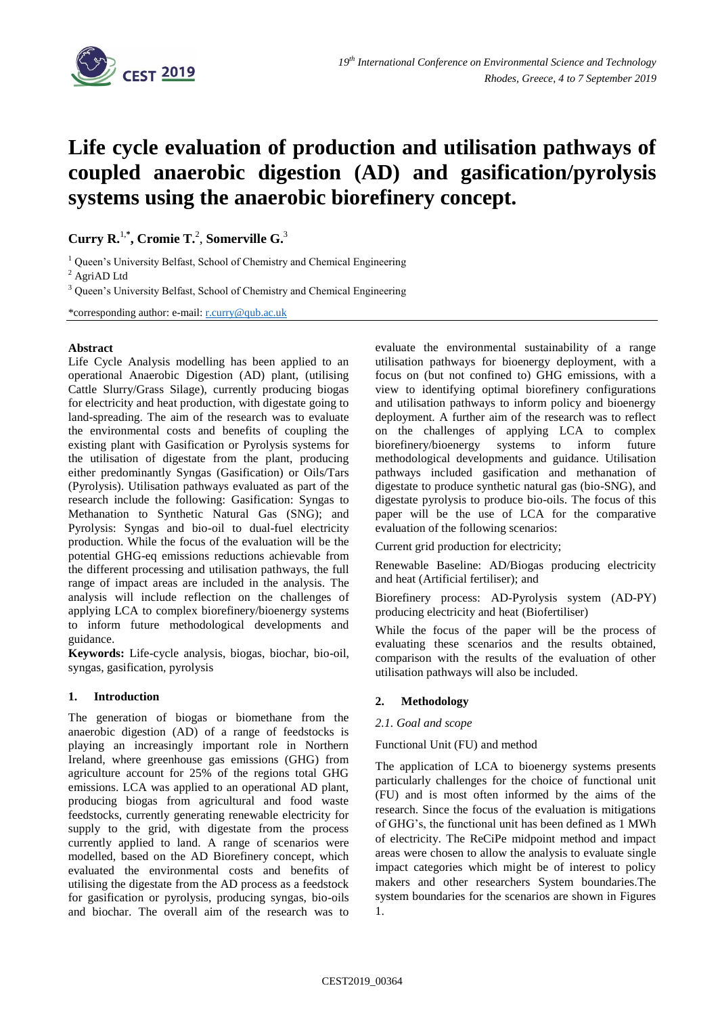

# **Life cycle evaluation of production and utilisation pathways of coupled anaerobic digestion (AD) and gasification/pyrolysis systems using the anaerobic biorefinery concept.**

**Curry R.** 1,**\* , Cromie T.** 2 , **Somerville G.** 3

<sup>1</sup> Queen's University Belfast, School of Chemistry and Chemical Engineering

<sup>2</sup> AgriAD Ltd

<sup>3</sup> Queen's University Belfast, School of Chemistry and Chemical Engineering

\*corresponding author: e-mail: [r.curry@qub.ac.uk](mailto:r.curry@qub.ac.uk)

#### **Abstract**

Life Cycle Analysis modelling has been applied to an operational Anaerobic Digestion (AD) plant, (utilising Cattle Slurry/Grass Silage), currently producing biogas for electricity and heat production, with digestate going to land-spreading. The aim of the research was to evaluate the environmental costs and benefits of coupling the existing plant with Gasification or Pyrolysis systems for the utilisation of digestate from the plant, producing either predominantly Syngas (Gasification) or Oils/Tars (Pyrolysis). Utilisation pathways evaluated as part of the research include the following: Gasification: Syngas to Methanation to Synthetic Natural Gas (SNG); and Pyrolysis: Syngas and bio-oil to dual-fuel electricity production. While the focus of the evaluation will be the potential GHG-eq emissions reductions achievable from the different processing and utilisation pathways, the full range of impact areas are included in the analysis. The analysis will include reflection on the challenges of applying LCA to complex biorefinery/bioenergy systems to inform future methodological developments and guidance.

**Keywords:** Life-cycle analysis, biogas, biochar, bio-oil, syngas, gasification, pyrolysis

## **1. Introduction**

The generation of biogas or biomethane from the anaerobic digestion (AD) of a range of feedstocks is playing an increasingly important role in Northern Ireland, where greenhouse gas emissions (GHG) from agriculture account for 25% of the regions total GHG emissions. LCA was applied to an operational AD plant, producing biogas from agricultural and food waste feedstocks, currently generating renewable electricity for supply to the grid, with digestate from the process currently applied to land. A range of scenarios were modelled, based on the AD Biorefinery concept, which evaluated the environmental costs and benefits of utilising the digestate from the AD process as a feedstock for gasification or pyrolysis, producing syngas, bio-oils and biochar. The overall aim of the research was to evaluate the environmental sustainability of a range utilisation pathways for bioenergy deployment, with a focus on (but not confined to) GHG emissions, with a view to identifying optimal biorefinery configurations and utilisation pathways to inform policy and bioenergy deployment. A further aim of the research was to reflect on the challenges of applying LCA to complex biorefinery/bioenergy systems to inform future methodological developments and guidance. Utilisation pathways included gasification and methanation of digestate to produce synthetic natural gas (bio-SNG), and digestate pyrolysis to produce bio-oils. The focus of this paper will be the use of LCA for the comparative evaluation of the following scenarios:

Current grid production for electricity;

Renewable Baseline: AD/Biogas producing electricity and heat (Artificial fertiliser); and

Biorefinery process: AD-Pyrolysis system (AD-PY) producing electricity and heat (Biofertiliser)

While the focus of the paper will be the process of evaluating these scenarios and the results obtained, comparison with the results of the evaluation of other utilisation pathways will also be included.

## **2. Methodology**

## *2.1. Goal and scope*

#### Functional Unit (FU) and method

The application of LCA to bioenergy systems presents particularly challenges for the choice of functional unit (FU) and is most often informed by the aims of the research. Since the focus of the evaluation is mitigations of GHG's, the functional unit has been defined as 1 MWh of electricity. The ReCiPe midpoint method and impact areas were chosen to allow the analysis to evaluate single impact categories which might be of interest to policy makers and other researchers System boundaries.The system boundaries for the scenarios are shown in Figures 1.